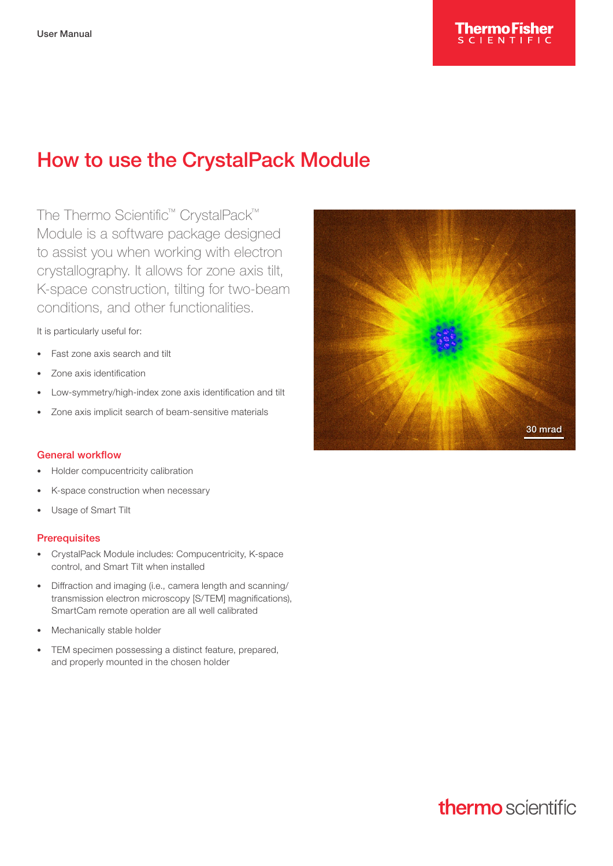

# How to use the CrystalPack Module

The Thermo Scientific™ CrystalPack™ Module is a software package designed to assist you when working with electron crystallography. It allows for zone axis tilt, K-space construction, tilting for two-beam conditions, and other functionalities.

It is particularly useful for:

- Fast zone axis search and tilt
- Zone axis identification
- Low-symmetry/high-index zone axis identification and tilt
- Zone axis implicit search of beam-sensitive materials

#### General workflow

- Holder compucentricity calibration
- K-space construction when necessary
- Usage of Smart Tilt

#### **Prerequisites**

- CrystalPack Module includes: Compucentricity, K-space control, and Smart Tilt when installed
- Diffraction and imaging (i.e., camera length and scanning/ transmission electron microscopy [S/TEM] magnifications), SmartCam remote operation are all well calibrated
- Mechanically stable holder
- TEM specimen possessing a distinct feature, prepared, and properly mounted in the chosen holder



# thermo scientific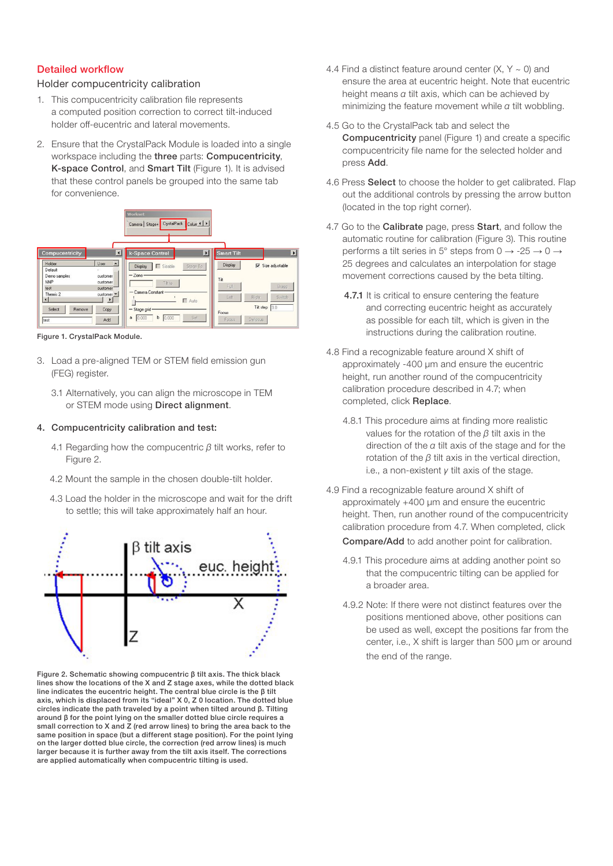### Detailed workflow

## Holder compucentricity calibration

- 1. This compucentricity calibration file represents a computed position correction to correct tilt-induced holder off-eucentric and lateral movements.
- 2. Ensure that the CrystalPack Module is loaded into a single workspace including the three parts: Compucentricity, K-space Control, and Smart Tilt (Figure 1). It is advised that these control panels be grouped into the same tab for convenience.



Figure 1. CrystalPack Module.

- 3. Load a pre-aligned TEM or STEM field emission gun (FEG) register.
	- 3.1 Alternatively, you can align the microscope in TEM or STEM mode using Direct alignment.

### 4. Compucentricity calibration and test:

- 4.1 Regarding how the compucentric *β* tilt works, refer to Figure 2.
- 4.2 Mount the sample in the chosen double-tilt holder.
- 4.3 Load the holder in the microscope and wait for the drift to settle; this will take approximately half an hour.



Figure 2. Schematic showing compucentric β tilt axis. The thick black lines show the locations of the X and Z stage axes, while the dotted black line indicates the eucentric height. The central blue circle is the β tilt axis, which is displaced from its "ideal" X 0, Z 0 location. The dotted blue circles indicate the path traveled by a point when tilted around β. Tilting around β for the point lying on the smaller dotted blue circle requires a small correction to X and Z (red arrow lines) to bring the area back to the same position in space (but a different stage position). For the point lying on the larger dotted blue circle, the correction (red arrow lines) is much larger because it is further away from the tilt axis itself. The corrections are applied automatically when compucentric tilting is used.

- 4.4 Find a distinct feature around center  $(X, Y \sim 0)$  and ensure the area at eucentric height. Note that eucentric height means *α* tilt axis, which can be achieved by minimizing the feature movement while *α* tilt wobbling.
- 4.5 Go to the CrystalPack tab and select the Compucentricity panel (Figure 1) and create a specific compucentricity file name for the selected holder and press Add.
- 4.6 Press Select to choose the holder to get calibrated. Flap out the additional controls by pressing the arrow button (located in the top right corner).
- 4.7 Go to the **Calibrate** page, press **Start**, and follow the automatic routine for calibration (Figure 3). This routine performs a tilt series in 5° steps from  $0 \rightarrow -25 \rightarrow 0 \rightarrow$ 25 degrees and calculates an interpolation for stage movement corrections caused by the beta tilting.
	- 4.7.1 It is critical to ensure centering the feature and correcting eucentric height as accurately as possible for each tilt, which is given in the instructions during the calibration routine.
- 4.8 Find a recognizable feature around X shift of approximately -400 µm and ensure the eucentric height, run another round of the compucentricity calibration procedure described in 4.7; when completed, click Replace.
	- 4.8.1 This procedure aims at finding more realistic values for the rotation of the *β* tilt axis in the direction of the *α* tilt axis of the stage and for the rotation of the *β* tilt axis in the vertical direction, i.e., a non-existent *γ* tilt axis of the stage.
- 4.9 Find a recognizable feature around X shift of approximately +400 um and ensure the eucentric height. Then, run another round of the compucentricity calibration procedure from 4.7. When completed, click Compare/Add to add another point for calibration.
	- 4.9.1 This procedure aims at adding another point so that the compucentric tilting can be applied for a broader area.
	- 4.9.2 Note: If there were not distinct features over the positions mentioned above, other positions can be used as well, except the positions far from the center, i.e., X shift is larger than 500 µm or around the end of the range.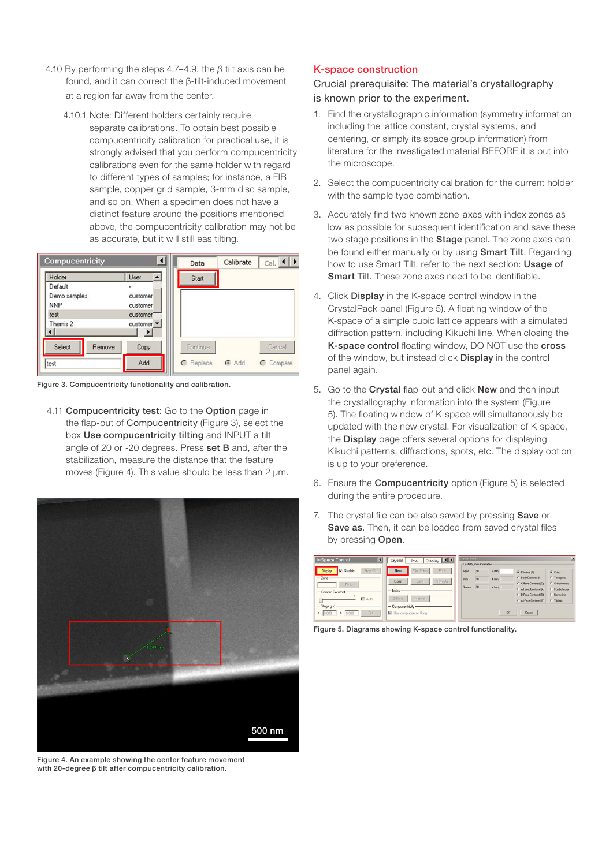- 4.10 By performing the steps 4.7–4.9, the *β* tilt axis can be found, and it can correct the β-tilt-induced movement at a region far away from the center.
	- 4.10.1 Note: Different holders certainly require separate calibrations. To obtain best possible compucentricity calibration for practical use, it is strongly advised that you perform compucentricity calibrations even for the same holder with regard to different types of samples; for instance, a FIB sample, copper grid sample, 3-mm disc sample, and so on. When a specimen does not have a distinct feature around the positions mentioned above, the compucentricity calibration may not be as accurate, but it will still eas tilting.

| Compucentricity                       |                                                 | Data                         | Calibrate | $Cal.$ $\rightarrow$ |
|---------------------------------------|-------------------------------------------------|------------------------------|-----------|----------------------|
| Holder                                | User                                            | Start                        |           |                      |
| Default<br>Demo samples<br><b>NNP</b> | $\omega$ .<br>customer<br>customer              |                              |           |                      |
| test<br>Themis 2                      | customer <sup>®</sup><br>customer <b>-</b><br>œ |                              |           |                      |
| Select<br>Remove<br>test              | Copy<br>Add                                     | Continue<br><b>C</b> Replace | @ Add     | Cancel<br>C Compare  |

Figure 3. Compucentricity functionality and calibration.

4.11 Compucentricity test: Go to the Option page in the flap-out of Compucentricity (Figure 3), select the box Use compucentricity tilting and INPUT a tilt angle of 20 or -20 degrees. Press set B and, after the stabilization, measure the distance that the feature moves (Figure 4). This value should be less than 2  $\mu$ m.



Figure 4. An example showing the center feature movement with 20-degree β tilt after compucentricity calibration.

### K-space construction

Crucial prerequisite: The material's crystallography is known prior to the experiment.

- 1. Find the crystallographic information (symmetry information including the lattice constant, crystal systems, and centering, or simply its space group information) from literature for the investigated material BEFORE it is put into the microscope.
- 2. Select the compucentricity calibration for the current holder with the sample type combination.
- 3. Accurately find two known zone-axes with index zones as low as possible for subsequent identification and save these two stage positions in the **Stage** panel. The zone axes can be found either manually or by using **Smart Tilt**. Regarding how to use Smart Tilt, refer to the next section: Usage of Smart Tilt. These zone axes need to be identifiable.
- 4. Click Display in the K-space control window in the CrystalPack panel (Figure 5). A floating window of the K-space of a simple cubic lattice appears with a simulated diffraction pattern, including Kikuchi line. When closing the K-space control floating window, DO NOT use the cross of the window, but instead click Display in the control panel again.
- 5. Go to the Crystal flap-out and click New and then input the crystallography information into the system (Figure 5). The floating window of K-space will simultaneously be updated with the new crystal. For visualization of K-space, the **Display** page offers several options for displaying Kikuchi patterns, diffractions, spots, etc. The display option is up to your preference.
- 6. Ensure the Compucentricity option (Figure 5) is selected during the entire procedure.
- 7. The crystal file can be also saved by pressing **Save** or Save as. Then, it can be loaded from saved crystal files by pressing Open.

| k-Space Control.                                                                              | Display   1  <br>Crystal<br>Info                                                               | <b>Crystal Data</b><br>$\vert x \vert$<br>Crustal Sustem Parameters                                                                                                                                                                                                                                                                                          |
|-----------------------------------------------------------------------------------------------|------------------------------------------------------------------------------------------------|--------------------------------------------------------------------------------------------------------------------------------------------------------------------------------------------------------------------------------------------------------------------------------------------------------------------------------------------------------------|
| IV Sizable<br>Stage To<br>Display<br>$-2$ one-<br>Tilt to<br>- Camera Constant<br>$\Box$ Auto | Print Setup<br>Print<br>New<br>Save As<br><b>Saye</b><br>Open<br>$=$ Index<br>2-Zone<br>Manual | Alpha<br>130<br>$o$ (nm)  1<br>G. Primitive (F)<br>G Date<br>C Body Centered (I)<br>C Tetragonal<br> 30<br>$b$ (nm) $1$<br><b>Beta</b><br>C CFace Centered (C)<br>C Orthorhombic<br>$\sqrt{80}$<br>$c$ [nm] $\sqrt{1}$<br>Gamma<br>C. Rombohedral<br>C A Face Centered [A]<br>C B Face Centered (B)<br>C Monoclinic<br>C Al-Face-Centered (F)<br>C Triclinic |
| - Stage grid-<br>Set<br>0.000<br>0.000<br>$\ddot{\text{o}}$<br>ь                              | - Compucer/tricity-<br>V Use compucentric tilting                                              | OK.<br>Cancel                                                                                                                                                                                                                                                                                                                                                |

Figure 5. Diagrams showing K-space control functionality.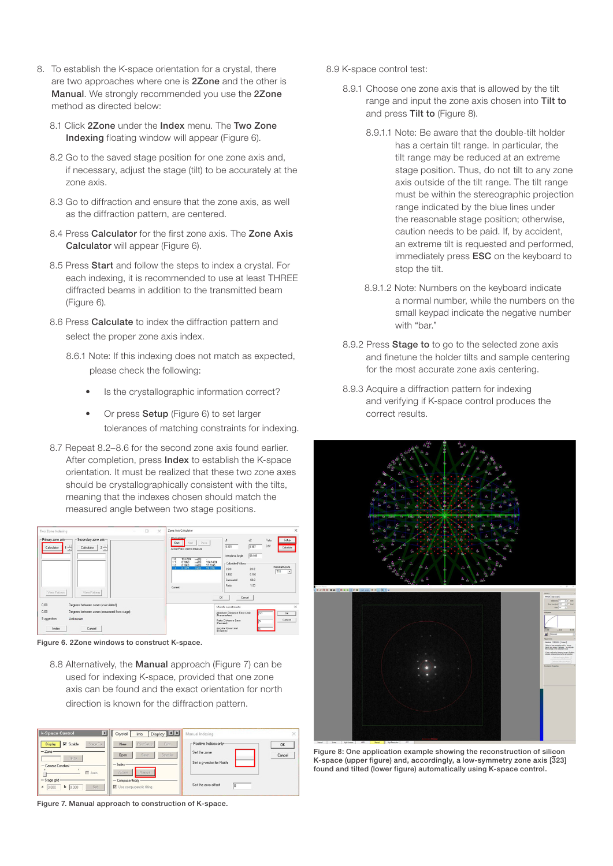- 8. To establish the K-space orientation for a crystal, there are two approaches where one is 2Zone and the other is Manual. We strongly recommended you use the 2Zone method as directed below:
	- 8.1 Click 27 one under the Index menu. The Two Zone Indexing floating window will appear (Figure 6).
	- 8.2 Go to the saved stage position for one zone axis and, if necessary, adjust the stage (tilt) to be accurately at the zone axis.
	- 8.3 Go to diffraction and ensure that the zone axis, as well as the diffraction pattern, are centered.
	- 8.4 Press Calculator for the first zone axis. The Zone Axis Calculator will appear (Figure 6).
	- 8.5 Press Start and follow the steps to index a crystal. For each indexing, it is recommended to use at least THREE diffracted beams in addition to the transmitted beam (Figure 6).
	- 8.6 Press Calculate to index the diffraction pattern and select the proper zone axis index.
		- 8.6.1 Note: If this indexing does not match as expected, please check the following:
			- Is the crystallographic information correct?
			- Or press **Setup** (Figure 6) to set larger tolerances of matching constraints for indexing.
	- 8.7 Repeat 8.2–8.6 for the second zone axis found earlier. After completion, press **Index** to establish the K-space orientation. It must be realized that these two zone axes should be crystallographically consistent with the tilts, meaning that the indexes chosen should match the measured angle between two stage positions.



Figure 6. 2Zone windows to construct K-space.

8.8 Alternatively, the Manual approach (Figure 7) can be used for indexing K-space, provided that one zone axis can be found and the exact orientation for north direction is known for the diffraction pattern.

| k-Space Control<br>◘                                               | Display 11<br>Crystal<br>Info           | Manual Indexing                       | X      |
|--------------------------------------------------------------------|-----------------------------------------|---------------------------------------|--------|
| $\nabla$ Sizable<br>Stage To<br><b>Display</b><br>$-$ Zone $\cdot$ | Print Setup<br>Pánt.<br>New             | Positive Indices only<br>Set the zone | OK     |
| Tilt to<br>- Camera Constant-                                      | Save As<br>Save<br>Open<br>$-$ Index-   | Set a g-vector for North              | Cancel |
| Auto<br>- Stage grid-                                              | 2Zone.<br>Manual<br>- Compucentricity - |                                       |        |
| Set.<br>0.000<br>0.000<br>b<br>ð                                   | V Use compucentric tilting              | Set the zero-offset<br>lo             |        |

Figure 7. Manual approach to construction of K-space.

- 8.9 K-space control test:
	- 8.9.1 Choose one zone axis that is allowed by the tilt range and input the zone axis chosen into Tilt to and press Tilt to (Figure 8).
		- 8.9.1.1 Note: Be aware that the double-tilt holder has a certain tilt range. In particular, the tilt range may be reduced at an extreme stage position. Thus, do not tilt to any zone axis outside of the tilt range. The tilt range must be within the stereographic projection range indicated by the blue lines under the reasonable stage position; otherwise, caution needs to be paid. If, by accident, an extreme tilt is requested and performed, immediately press **ESC** on the keyboard to stop the tilt.
		- 8.9.1.2 Note: Numbers on the keyboard indicate a normal number, while the numbers on the small keypad indicate the negative number with "bar."
	- 8.9.2 Press **Stage to** to go to the selected zone axis and finetune the holder tilts and sample centering for the most accurate zone axis centering.
	- 8.9.3 Acquire a diffraction pattern for indexing and verifying if K-space control produces the correct results.



Figure 8: One application example showing the reconstruction of silicon K-space (upper figure) and, accordingly, a low-symmetry zone axis [323] found and tilted (lower figure) automatically using K-space control.